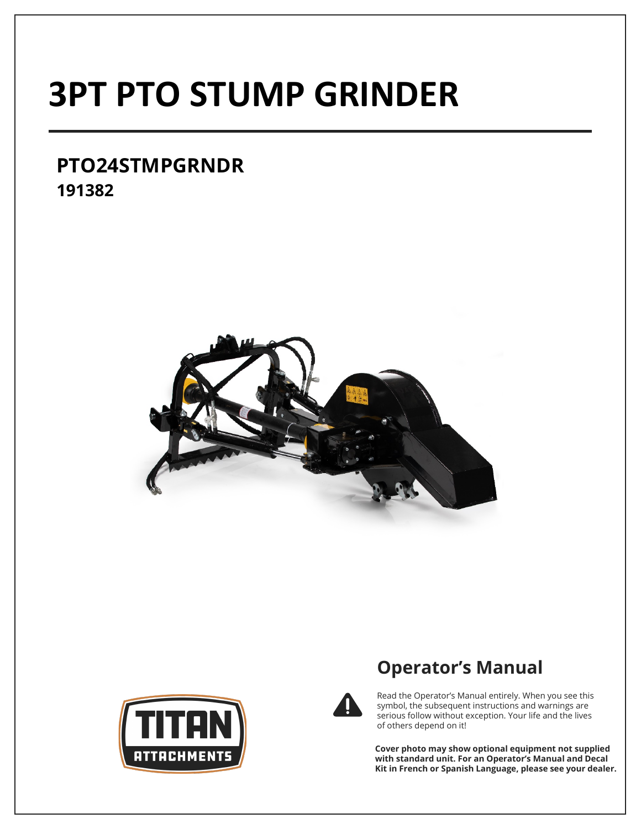# **3PT PTO STUMP GRINDER**

# **PTO24STMPGRNDR 191382**





# **Operator's Manual**



Read the Operator's Manual entirely. When you see this symbol, the subsequent instructions and warnings are serious follow without exception. Your life and the lives of others depend on it!

**Cover photo may show optional equipment not supplied with standard unit. For an Operator's Manual and Decal Kit in French or Spanish Language, please see your dealer.**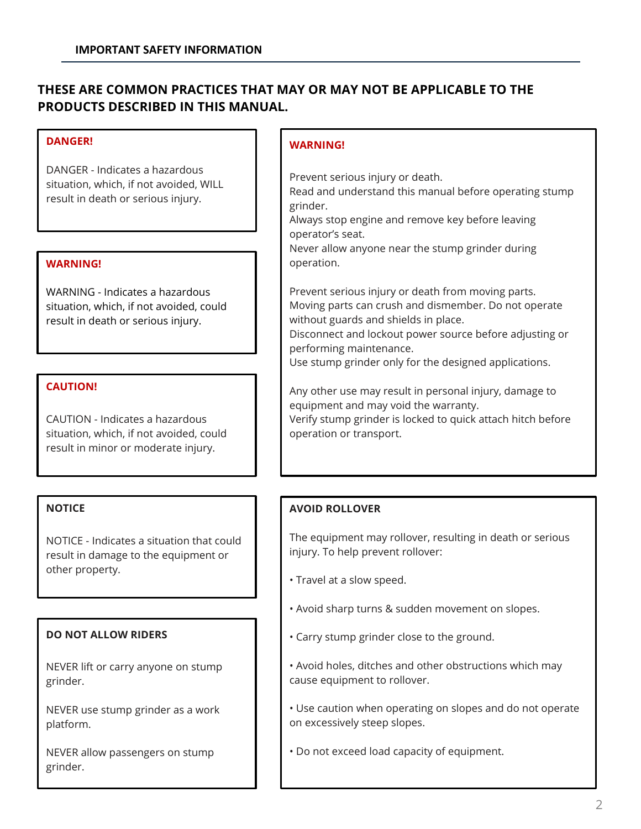# **THESE ARE COMMON PRACTICES THAT MAY OR MAY NOT BE APPLICABLE TO THE PRODUCTS DESCRIBED IN THIS MANUAL.**

# **DANGER!**

DANGER - Indicates a hazardous situation, which, if not avoided, WILL result in death or serious injury.

# **WARNING!**

WARNING - Indicates a hazardous situation, which, if not avoided, could result in death or serious injury.

#### **CAUTION!**

CAUTION - Indicates a hazardous situation, which, if not avoided, could result in minor or moderate injury.

## **NOTICE**

NOTICE - Indicates a situation that could result in damage to the equipment or other property.

## **DO NOT ALLOW RIDERS**

NEVER lift or carry anyone on stump grinder.

NEVER use stump grinder as a work platform.

NEVER allow passengers on stump grinder.

#### **WARNING!**

Prevent serious injury or death.

Read and understand this manual before operating stump grinder.

Always stop engine and remove key before leaving operator's seat.

Never allow anyone near the stump grinder during operation.

Prevent serious injury or death from moving parts. Moving parts can crush and dismember. Do not operate without guards and shields in place.

Disconnect and lockout power source before adjusting or performing maintenance.

Use stump grinder only for the designed applications.

Any other use may result in personal injury, damage to equipment and may void the warranty. Verify stump grinder is locked to quick attach hitch before operation or transport.

## **AVOID ROLLOVER**

The equipment may rollover, resulting in death or serious injury. To help prevent rollover:

- Travel at a slow speed.
- Avoid sharp turns & sudden movement on slopes.
- Carry stump grinder close to the ground.
- Avoid holes, ditches and other obstructions which may cause equipment to rollover.
- Use caution when operating on slopes and do not operate on excessively steep slopes.
- Do not exceed load capacity of equipment.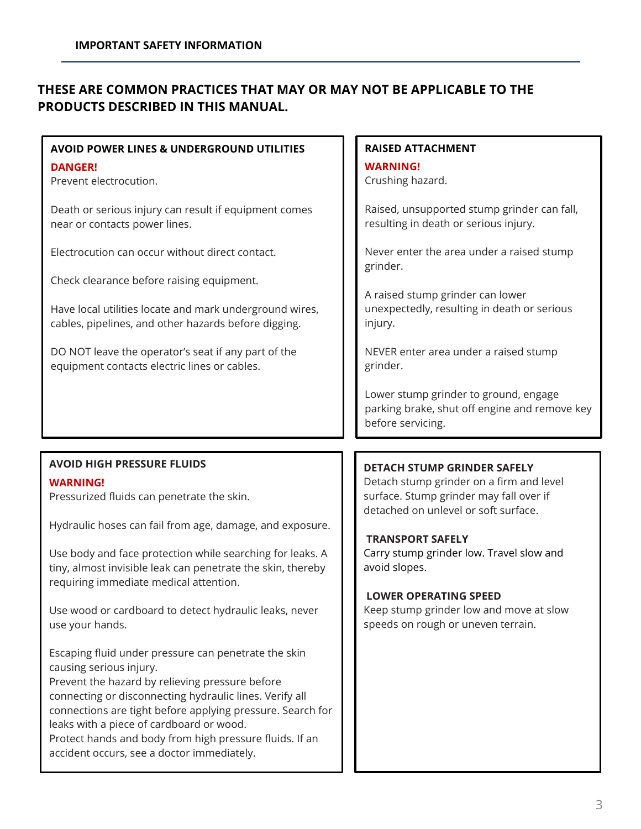# **THESE ARE COMMON PRACTICES THAT MAY OR MAY NOT BE APPLICABLE TO THE PRODUCTS DESCRIBED IN THIS MANUAL.**

| <b>AVOID POWER LINES &amp; UNDERGROUND UTILITIES</b>                                                            | <b>RAISED ATTACHMENT</b>                                                                                    |  |
|-----------------------------------------------------------------------------------------------------------------|-------------------------------------------------------------------------------------------------------------|--|
| <b>DANGER!</b>                                                                                                  | <b>WARNING!</b>                                                                                             |  |
| Prevent electrocution.                                                                                          | Crushing hazard.                                                                                            |  |
| Death or serious injury can result if equipment comes                                                           | Raised, unsupported stump grinder can fall,                                                                 |  |
| near or contacts power lines.                                                                                   | resulting in death or serious injury.                                                                       |  |
| Electrocution can occur without direct contact.                                                                 | Never enter the area under a raised stump<br>grinder.                                                       |  |
| Check clearance before raising equipment.                                                                       |                                                                                                             |  |
| Have local utilities locate and mark underground wires,<br>cables, pipelines, and other hazards before digging. | A raised stump grinder can lower<br>unexpectedly, resulting in death or serious<br>injury.                  |  |
| DO NOT leave the operator's seat if any part of the<br>equipment contacts electric lines or cables.             | NEVER enter area under a raised stump<br>grinder.                                                           |  |
|                                                                                                                 | Lower stump grinder to ground, engage<br>parking brake, shut off engine and remove key<br>before servicing. |  |
|                                                                                                                 |                                                                                                             |  |
| <b>AVOID HIGH PRESSURE FLUIDS</b>                                                                               |                                                                                                             |  |
|                                                                                                                 | <b>DETACH STUMP GRINDER SAFELY</b>                                                                          |  |
| <b>WARNING!</b>                                                                                                 | Detach stump grinder on a firm and level                                                                    |  |
| Pressurized fluids can penetrate the skin.                                                                      | surface. Stump grinder may fall over if<br>detached on unlevel or soft surface.                             |  |
| Hydraulic hoses can fail from age, damage, and exposure.                                                        |                                                                                                             |  |
| Use body and face protection while searching for leaks. A                                                       | <b>TRANSPORT SAFELY</b><br>Carry stump grinder low. Travel slow and                                         |  |
| tiny, almost invisible leak can penetrate the skin, thereby                                                     | avoid slopes.                                                                                               |  |
| requiring immediate medical attention.                                                                          | <b>LOWER OPERATING SPEED</b>                                                                                |  |
| Use wood or cardboard to detect hydraulic leaks, never<br>use your hands.                                       | Keep stump grinder low and move at slow<br>speeds on rough or uneven terrain.                               |  |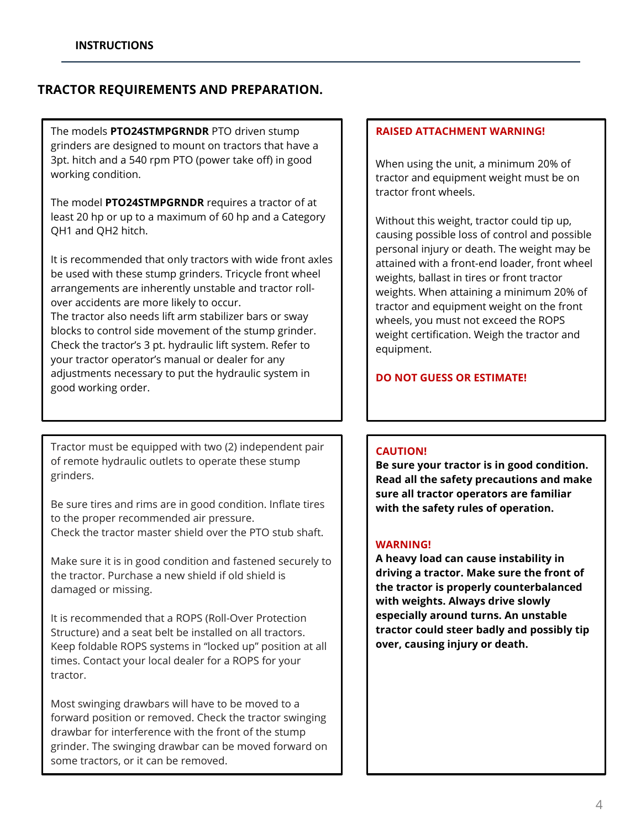# **TRACTOR REQUIREMENTS AND PREPARATION.**

The models **PTO24STMPGRNDR** PTO driven stump grinders are designed to mount on tractors that have a 3pt. hitch and a 540 rpm PTO (power take off) in good working condition.

The model **PTO24STMPGRNDR** requires a tractor of at least 20 hp or up to a maximum of 60 hp and a Category QH1 and QH2 hitch.

It is recommended that only tractors with wide front axles be used with these stump grinders. Tricycle front wheel arrangements are inherently unstable and tractor rollover accidents are more likely to occur.

The tractor also needs lift arm stabilizer bars or sway blocks to control side movement of the stump grinder. Check the tractor's 3 pt. hydraulic lift system. Refer to your tractor operator's manual or dealer for any adjustments necessary to put the hydraulic system in good working order.

Tractor must be equipped with two (2) independent pair of remote hydraulic outlets to operate these stump grinders.

Be sure tires and rims are in good condition. Inflate tires to the proper recommended air pressure. Check the tractor master shield over the PTO stub shaft.

Make sure it is in good condition and fastened securely to the tractor. Purchase a new shield if old shield is damaged or missing.

It is recommended that a ROPS (Roll-Over Protection Structure) and a seat belt be installed on all tractors. Keep foldable ROPS systems in "locked up" position at all times. Contact your local dealer for a ROPS for your tractor.

Most swinging drawbars will have to be moved to a forward position or removed. Check the tractor swinging drawbar for interference with the front of the stump grinder. The swinging drawbar can be moved forward on some tractors, or it can be removed.

#### **RAISED ATTACHMENT WARNING!**

When using the unit, a minimum 20% of tractor and equipment weight must be on tractor front wheels.

Without this weight, tractor could tip up, causing possible loss of control and possible personal injury or death. The weight may be attained with a front-end loader, front wheel weights, ballast in tires or front tractor weights. When attaining a minimum 20% of tractor and equipment weight on the front wheels, you must not exceed the ROPS weight certification. Weigh the tractor and equipment.

## **DO NOT GUESS OR ESTIMATE!**

#### **CAUTION!**

**Be sure your tractor is in good condition. Read all the safety precautions and make sure all tractor operators are familiar with the safety rules of operation.**

#### **WARNING!**

**A heavy load can cause instability in driving a tractor. Make sure the front of the tractor is properly counterbalanced with weights. Always drive slowly especially around turns. An unstable tractor could steer badly and possibly tip over, causing injury or death.**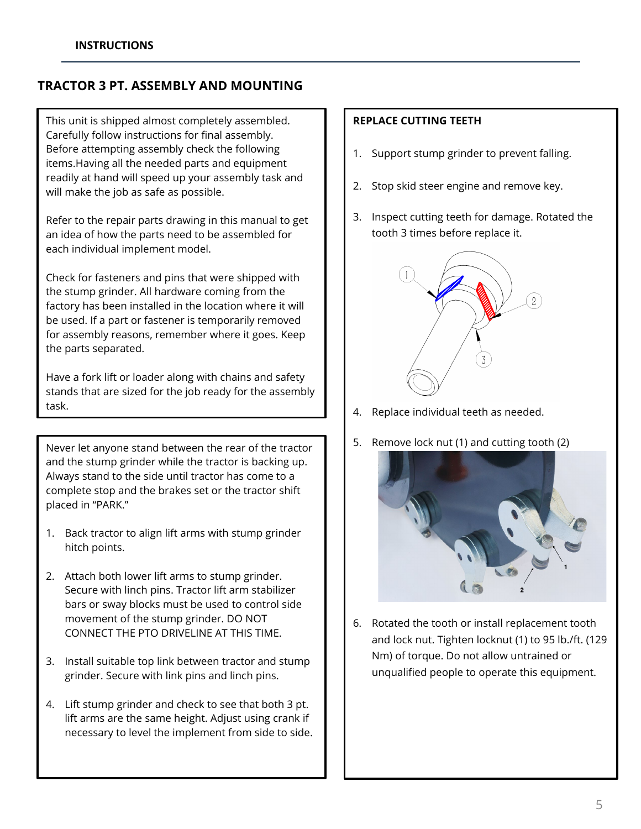# **TRACTOR 3 PT. ASSEMBLY AND MOUNTING**

This unit is shipped almost completely assembled. Carefully follow instructions for final assembly. Before attempting assembly check the following items.Having all the needed parts and equipment readily at hand will speed up your assembly task and will make the job as safe as possible.

Refer to the repair parts drawing in this manual to get an idea of how the parts need to be assembled for each individual implement model.

Check for fasteners and pins that were shipped with the stump grinder. All hardware coming from the factory has been installed in the location where it will be used. If a part or fastener is temporarily removed for assembly reasons, remember where it goes. Keep the parts separated.

Have a fork lift or loader along with chains and safety stands that are sized for the job ready for the assembly task.

֡֡֡

Never let anyone stand between the rear of the tractor and the stump grinder while the tractor is backing up. Always stand to the side until tractor has come to a complete stop and the brakes set or the tractor shift placed in "PARK."

- 1. Back tractor to align lift arms with stump grinder hitch points.
- 2. Attach both lower lift arms to stump grinder. Secure with linch pins. Tractor lift arm stabilizer bars or sway blocks must be used to control side movement of the stump grinder. DO NOT CONNECT THE PTO DRIVELINE AT THIS TIME.
- 3. Install suitable top link between tractor and stump grinder. Secure with link pins and linch pins.
- 4. Lift stump grinder and check to see that both 3 pt. lift arms are the same height. Adjust using crank if necessary to level the implement from side to side.

# **REPLACE CUTTING TEETH**

- 1. Support stump grinder to prevent falling.
- 2. Stop skid steer engine and remove key.
- 3. Inspect cutting teeth for damage. Rotated the tooth 3 times before replace it.



- 4. Replace individual teeth as needed.
- 5. Remove lock nut (1) and cutting tooth (2)



6. Rotated the tooth or install replacement tooth and lock nut. Tighten locknut (1) to 95 lb./ft. (129 Nm) of torque. Do not allow untrained or unqualified people to operate this equipment.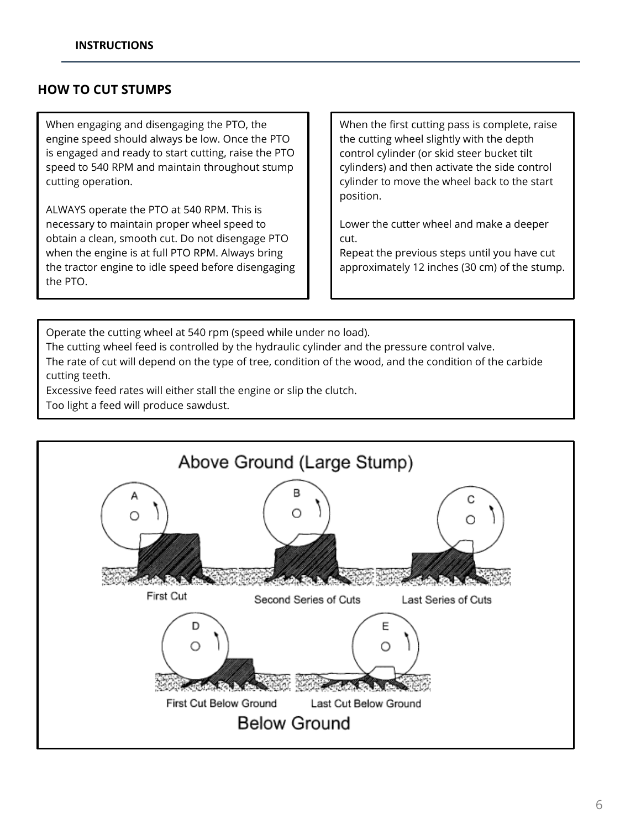# **HOW TO CUT STUMPS**

When engaging and disengaging the PTO, the engine speed should always be low. Once the PTO is engaged and ready to start cutting, raise the PTO speed to 540 RPM and maintain throughout stump cutting operation.

ALWAYS operate the PTO at 540 RPM. This is necessary to maintain proper wheel speed to obtain a clean, smooth cut. Do not disengage PTO when the engine is at full PTO RPM. Always bring the tractor engine to idle speed before disengaging the PTO.

When the first cutting pass is complete, raise the cutting wheel slightly with the depth control cylinder (or skid steer bucket tilt cylinders) and then activate the side control cylinder to move the wheel back to the start position.

Lower the cutter wheel and make a deeper cut.

Repeat the previous steps until you have cut approximately 12 inches (30 cm) of the stump.

Operate the cutting wheel at 540 rpm (speed while under no load).

The cutting wheel feed is controlled by the hydraulic cylinder and the pressure control valve.

The rate of cut will depend on the type of tree, condition of the wood, and the condition of the carbide cutting teeth.

Excessive feed rates will either stall the engine or slip the clutch.

Too light a feed will produce sawdust.

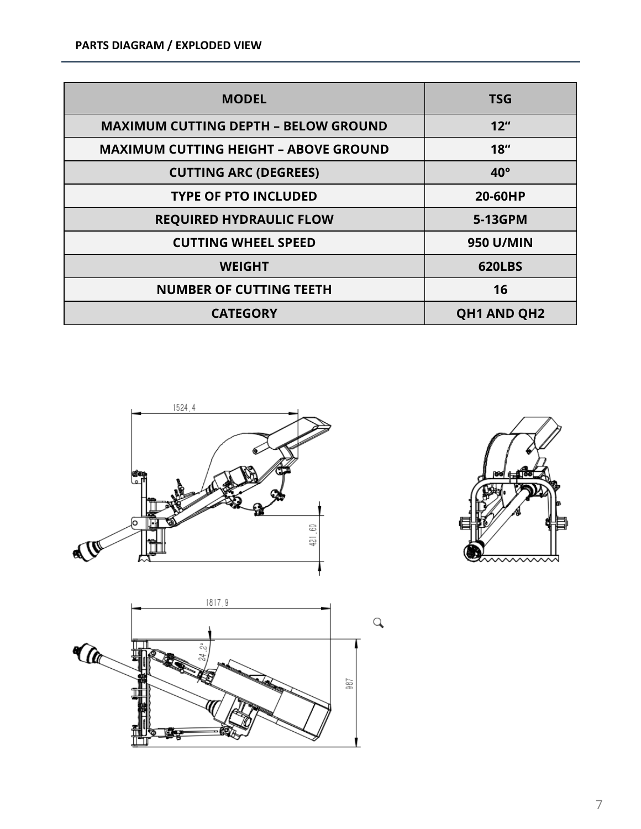| <b>MODEL</b>                                 | <b>TSG</b>          |
|----------------------------------------------|---------------------|
| <b>MAXIMUM CUTTING DEPTH - BELOW GROUND</b>  | $12^{\prime\prime}$ |
| <b>MAXIMUM CUTTING HEIGHT - ABOVE GROUND</b> | 18 <sup>''</sup>    |
| <b>CUTTING ARC (DEGREES)</b>                 | $40^{\circ}$        |
| <b>TYPE OF PTO INCLUDED</b>                  | 20-60HP             |
| <b>REQUIRED HYDRAULIC FLOW</b>               | 5-13GPM             |
| <b>CUTTING WHEEL SPEED</b>                   | <b>950 U/MIN</b>    |
| <b>WEIGHT</b>                                | <b>620LBS</b>       |
| <b>NUMBER OF CUTTING TEETH</b>               | 16                  |
| <b>CATEGORY</b>                              | <b>QH1 AND QH2</b>  |





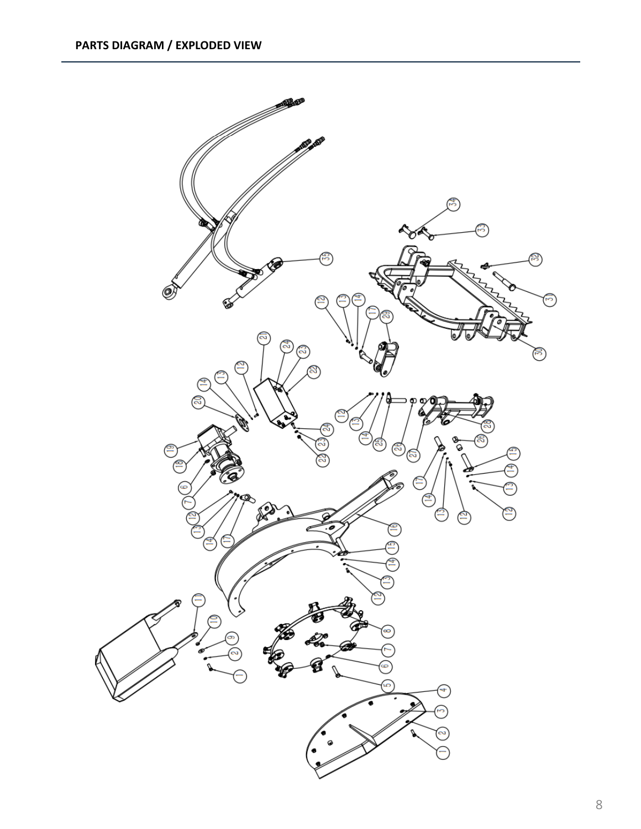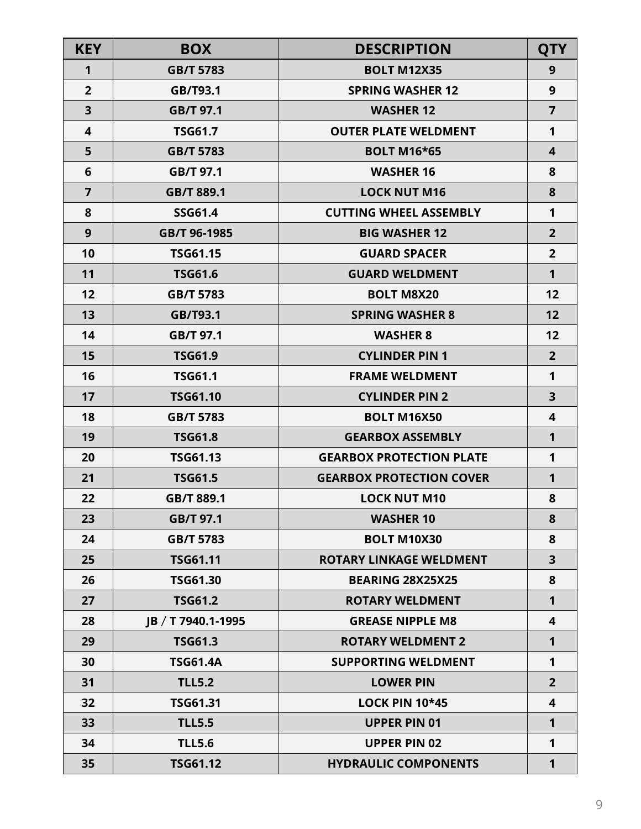| <b>KEY</b>     | <b>BOX</b>         | <b>DESCRIPTION</b>              | <b>QTY</b>              |
|----------------|--------------------|---------------------------------|-------------------------|
| 1              | <b>GB/T 5783</b>   | <b>BOLT M12X35</b>              | 9                       |
| $\overline{2}$ | GB/T93.1           | <b>SPRING WASHER 12</b>         | 9                       |
| 3              | GB/T 97.1          | <b>WASHER 12</b>                | $\overline{7}$          |
| 4              | <b>TSG61.7</b>     | <b>OUTER PLATE WELDMENT</b>     | 1                       |
| 5              | <b>GB/T 5783</b>   | <b>BOLT M16*65</b>              | $\overline{\mathbf{4}}$ |
| 6              | GB/T 97.1          | <b>WASHER 16</b>                | 8                       |
| $\overline{7}$ | GB/T 889.1         | <b>LOCK NUT M16</b>             | 8                       |
| 8              | <b>SSG61.4</b>     | <b>CUTTING WHEEL ASSEMBLY</b>   | 1                       |
| 9              | GB/T 96-1985       | <b>BIG WASHER 12</b>            | $\overline{2}$          |
| 10             | <b>TSG61.15</b>    | <b>GUARD SPACER</b>             | $\overline{2}$          |
| 11             | <b>TSG61.6</b>     | <b>GUARD WELDMENT</b>           | $\mathbf{1}$            |
| 12             | <b>GB/T 5783</b>   | <b>BOLT M8X20</b>               | 12                      |
| 13             | GB/T93.1           | <b>SPRING WASHER 8</b>          | 12                      |
| 14             | GB/T 97.1          | <b>WASHER 8</b>                 | 12                      |
| 15             | <b>TSG61.9</b>     | <b>CYLINDER PIN 1</b>           | $\overline{2}$          |
| 16             | <b>TSG61.1</b>     | <b>FRAME WELDMENT</b>           | 1                       |
| 17             | <b>TSG61.10</b>    | <b>CYLINDER PIN 2</b>           | $\overline{\mathbf{3}}$ |
| 18             | <b>GB/T 5783</b>   | <b>BOLT M16X50</b>              | $\overline{\mathbf{4}}$ |
| 19             | <b>TSG61.8</b>     | <b>GEARBOX ASSEMBLY</b>         | 1                       |
| 20             | <b>TSG61.13</b>    | <b>GEARBOX PROTECTION PLATE</b> | 1                       |
| 21             | <b>TSG61.5</b>     | <b>GEARBOX PROTECTION COVER</b> | 1                       |
| 22             | GB/T 889.1         | <b>LOCK NUT M10</b>             | 8                       |
| 23             | GB/T 97.1          | <b>WASHER 10</b>                | 8                       |
| 24             | GB/T 5783          | <b>BOLT M10X30</b>              | 8                       |
| 25             | <b>TSG61.11</b>    | <b>ROTARY LINKAGE WELDMENT</b>  | 3                       |
| 26             | <b>TSG61.30</b>    | <b>BEARING 28X25X25</b>         | 8                       |
| 27             | <b>TSG61.2</b>     | <b>ROTARY WELDMENT</b>          | 1                       |
| 28             | IB / T 7940.1-1995 | <b>GREASE NIPPLE M8</b>         | $\overline{\mathbf{4}}$ |
| 29             | <b>TSG61.3</b>     | <b>ROTARY WELDMENT 2</b>        | 1                       |
| 30             | <b>TSG61.4A</b>    | <b>SUPPORTING WELDMENT</b>      | 1                       |
| 31             | <b>TLL5.2</b>      | <b>LOWER PIN</b>                | $\overline{2}$          |
| 32             | <b>TSG61.31</b>    | <b>LOCK PIN 10*45</b>           | 4                       |
| 33             | <b>TLL5.5</b>      | <b>UPPER PIN 01</b>             | 1                       |
| 34             | <b>TLL5.6</b>      | <b>UPPER PIN 02</b>             | 1                       |
| 35             | <b>TSG61.12</b>    | <b>HYDRAULIC COMPONENTS</b>     | 1                       |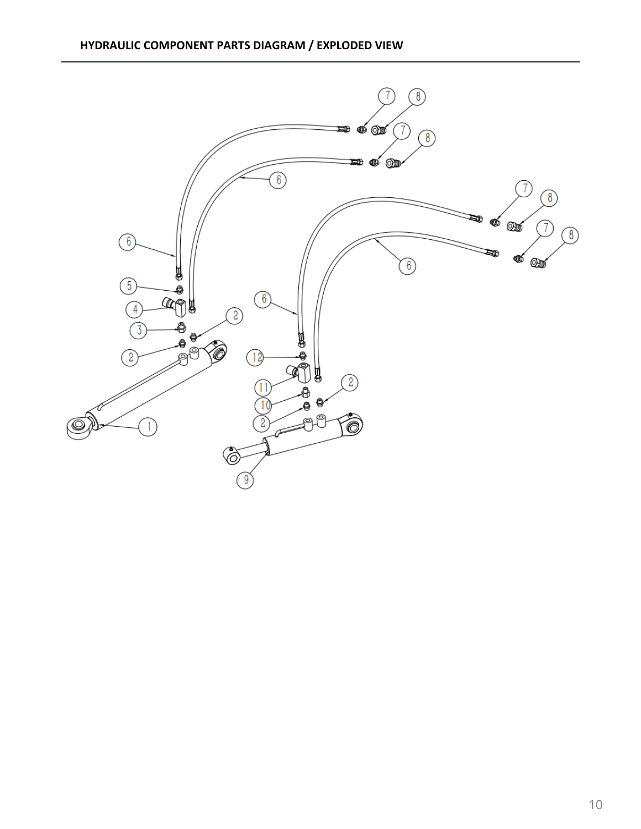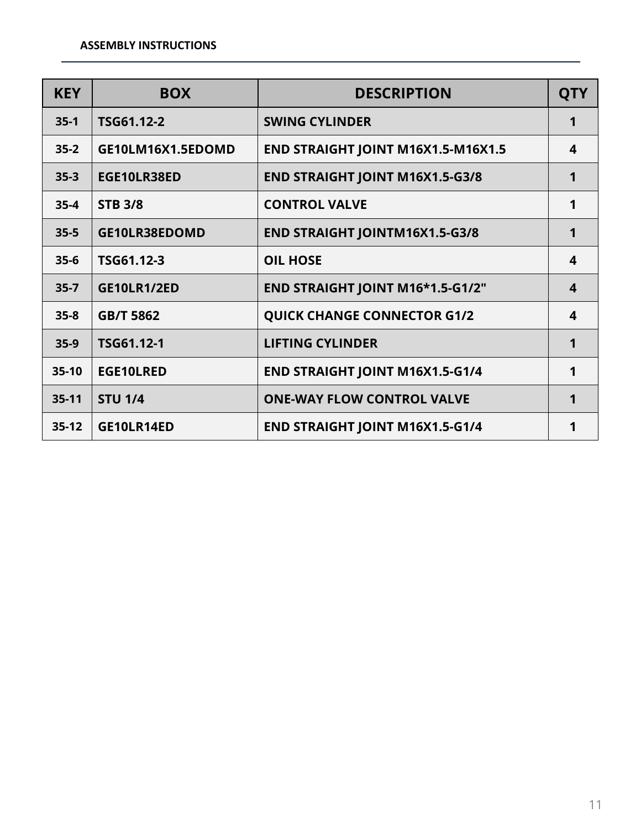| <b>KEY</b> | <b>BOX</b>         | <b>DESCRIPTION</b>                     | <b>QTY</b>              |
|------------|--------------------|----------------------------------------|-------------------------|
| $35-1$     | TSG61.12-2         | <b>SWING CYLINDER</b>                  | 1                       |
| $35 - 2$   | GE10LM16X1.5EDOMD  | END STRAIGHT JOINT M16X1.5-M16X1.5     | 4                       |
| $35 - 3$   | EGE10LR38ED        | <b>END STRAIGHT JOINT M16X1.5-G3/8</b> | 1                       |
| $35 - 4$   | <b>STB 3/8</b>     | <b>CONTROL VALVE</b>                   | 1                       |
| $35 - 5$   | GE10LR38EDOMD      | <b>END STRAIGHT JOINTM16X1.5-G3/8</b>  | 1                       |
| $35-6$     | TSG61.12-3         | <b>OIL HOSE</b>                        | 4                       |
| $35 - 7$   | <b>GE10LR1/2ED</b> | END STRAIGHT JOINT M16*1.5-G1/2"       | $\overline{\mathbf{4}}$ |
| $35 - 8$   | <b>GB/T 5862</b>   | <b>QUICK CHANGE CONNECTOR G1/2</b>     | 4                       |
| $35-9$     | TSG61.12-1         | <b>LIFTING CYLINDER</b>                | 1                       |
| $35-10$    | <b>EGE10LRED</b>   | <b>END STRAIGHT JOINT M16X1.5-G1/4</b> | 1                       |
| $35-11$    | <b>STU 1/4</b>     | <b>ONE-WAY FLOW CONTROL VALVE</b>      | 1                       |
| $35-12$    | GE10LR14ED         | <b>END STRAIGHT JOINT M16X1.5-G1/4</b> |                         |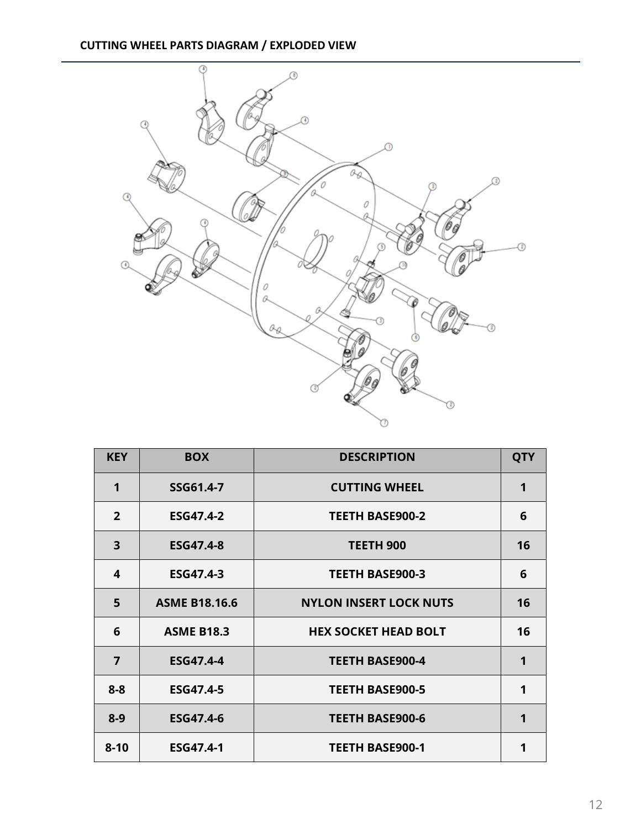# **CUTTING WHEEL PARTS DIAGRAM / EXPLODED VIEW**



| <b>KEY</b>              | <b>BOX</b>           | <b>DESCRIPTION</b>            | <b>QTY</b> |
|-------------------------|----------------------|-------------------------------|------------|
| $\mathbf 1$             | SSG61.4-7            | <b>CUTTING WHEEL</b>          | 1          |
| $\overline{2}$          | <b>ESG47.4-2</b>     | <b>TEETH BASE900-2</b>        | 6          |
| $\overline{\mathbf{3}}$ | <b>ESG47.4-8</b>     | TEETH 900                     | 16         |
| 4                       | ESG47.4-3            | <b>TEETH BASE900-3</b>        | 6          |
| 5                       | <b>ASME B18.16.6</b> | <b>NYLON INSERT LOCK NUTS</b> | 16         |
| 6                       | <b>ASME B18.3</b>    | <b>HEX SOCKET HEAD BOLT</b>   | 16         |
| $\overline{7}$          | <b>ESG47.4-4</b>     | <b>TEETH BASE900-4</b>        | 1          |
| $8 - 8$                 | <b>ESG47.4-5</b>     | <b>TEETH BASE900-5</b>        | 1          |
| $8 - 9$                 | <b>ESG47.4-6</b>     | <b>TEETH BASE900-6</b>        | 1          |
| $8 - 10$                | <b>ESG47.4-1</b>     | <b>TEETH BASE900-1</b>        | 1          |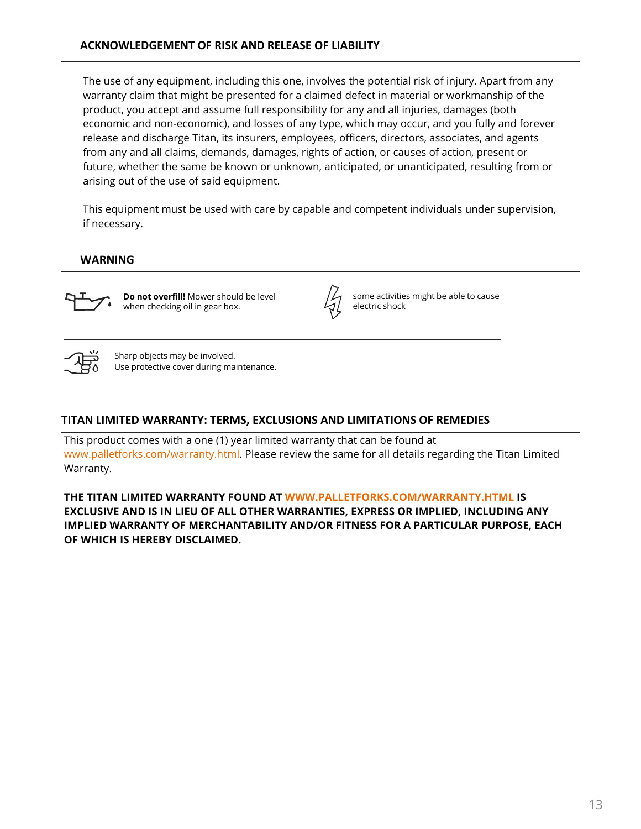The use of any equipment, including this one, involves the potential risk of injury. Apart from any warranty claim that might be presented for a claimed defect in material or workmanship of the product, you accept and assume full responsibility for any and all injuries, damages (both economic and non-economic), and losses of any type, which may occur, and you fully and forever release and discharge Titan, its insurers, employees, officers, directors, associates, and agents from any and all claims, demands, damages, rights of action, or causes of action, present or future, whether the same be known or unknown, anticipated, or unanticipated, resulting from or arising out of the use of said equipment.

This equipment must be used with care by capable and competent individuals under supervision, if necessary.

# **WARNING**



**Do not overfill!** Mower should be level when checking oil in gear box.



some activities might be able to cause electric shock



Sharp objects may be involved. Use protective cover during maintenance.

# **TITAN LIMITED WARRANTY: TERMS, EXCLUSIONS AND LIMITATIONS OF REMEDIES**

This product comes with a one (1) year limited warranty that can be found at www.palletforks.com/warranty.html. Please review the same for all details regarding the Titan Limited Warranty.

**THE TITAN LIMITED WARRANTY FOUND AT WWW.PALLETFORKS.COM/WARRANTY.HTML IS EXCLUSIVE AND IS IN LIEU OF ALL OTHER WARRANTIES, EXPRESS OR IMPLIED, INCLUDING ANY IMPLIED WARRANTY OF MERCHANTABILITY AND/OR FITNESS FOR A PARTICULAR PURPOSE, EACH OF WHICH IS HEREBY DISCLAIMED.**